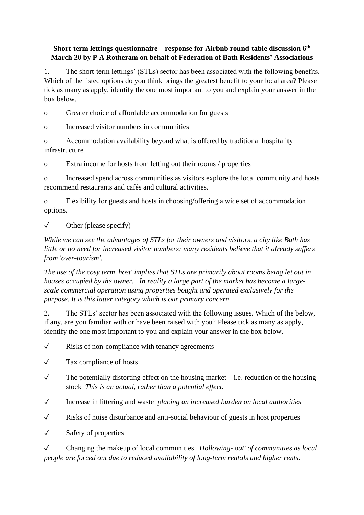## **Short-term lettings questionnaire – response for Airbnb round-table discussion 6th March 20 by P A Rotheram on behalf of Federation of Bath Residents' Associations**

1. The short-term lettings' (STLs) sector has been associated with the following benefits. Which of the listed options do you think brings the greatest benefit to your local area? Please tick as many as apply, identify the one most important to you and explain your answer in the box below.

o Greater choice of affordable accommodation for guests

o Increased visitor numbers in communities

o Accommodation availability beyond what is offered by traditional hospitality infrastructure

o Extra income for hosts from letting out their rooms / properties

o Increased spend across communities as visitors explore the local community and hosts recommend restaurants and cafés and cultural activities.

o Flexibility for guests and hosts in choosing/offering a wide set of accommodation options.

 $\sqrt{\phantom{a}}$  Other (please specify)

*While we can see the advantages of STLs for their owners and visitors, a city like Bath has little or no need for increased visitor numbers; many residents believe that it already suffers from 'over-tourism'.* 

*The use of the cosy term 'host' implies that STLs are primarily about rooms being let out in houses occupied by the owner. In reality a large part of the market has become a largescale commercial operation using properties bought and operated exclusively for the purpose. It is this latter category which is our primary concern.*

2. The STLs' sector has been associated with the following issues. Which of the below, if any, are you familiar with or have been raised with you? Please tick as many as apply, identify the one most important to you and explain your answer in the box below.

 $\sqrt{\phantom{a}}$  Risks of non-compliance with tenancy agreements

✓ Tax compliance of hosts

- $\checkmark$  The potentially distorting effect on the housing market i.e. reduction of the housing stock *This is an actual, rather than a potential effect.*
- ✓ Increase in littering and waste *placing an increased burden on local authorities*
- ✓ Risks of noise disturbance and anti-social behaviour of guests in host properties
- ✓ Safety of properties

✓ Changing the makeup of local communities *'Hollowing- out' of communities as local people are forced out due to reduced availability of long-term rentals and higher rents.*